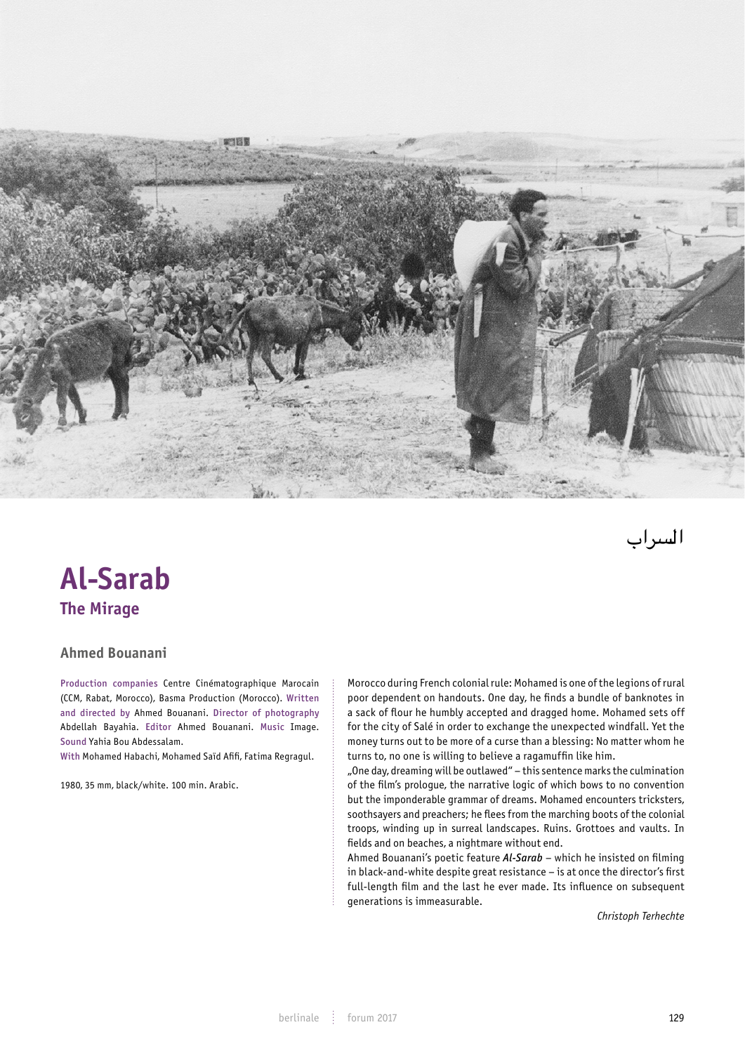

السراب

## **Al-Sarab The Mirage**

## **Ahmed Bouanani**

Production companies Centre Cinématographique Marocain (CCM, Rabat, Morocco), Basma Production (Morocco). Written and directed by Ahmed Bouanani. Director of photography Abdellah Bayahia. Editor Ahmed Bouanani. Music Image. Sound Yahia Bou Abdessalam.

With Mohamed Habachi, Mohamed Saïd Afifi, Fatima Regragul.

1980, 35 mm, black/white. 100 min. Arabic.

Morocco during French colonial rule: Mohamed is one of the legions of rural poor dependent on handouts. One day, he finds a bundle of banknotes in a sack of flour he humbly accepted and dragged home. Mohamed sets off for the city of Salé in order to exchange the unexpected windfall. Yet the money turns out to be more of a curse than a blessing: No matter whom he<br>turns to go and is willing to believe a recognition like bine turns to, no one is willing to believe a ragamuffin like him.

"One day, dreaming will be outlawed" – this sentence marks the culmination of the film's prologue, the narrative logic of which bows to no convention but the imponderable grammar of dreams. Mohamed encounters tricksters, soothsayers and preachers; he flees from the marching boots of the colonial troops, winding up in surreal landscapes. Ruins. Grottoes and vaults. In fields and on beaches, a nightmare without end. d vaates. In

Ahmed Bouanani's poetic feature *Al-Sarab* – which he insisted on filming in black-and-white despite great resistance – is at once the director's first full-length film and the last he ever made. Its influence on subsequent generations is immeasurable.

*Christoph Terhechte*